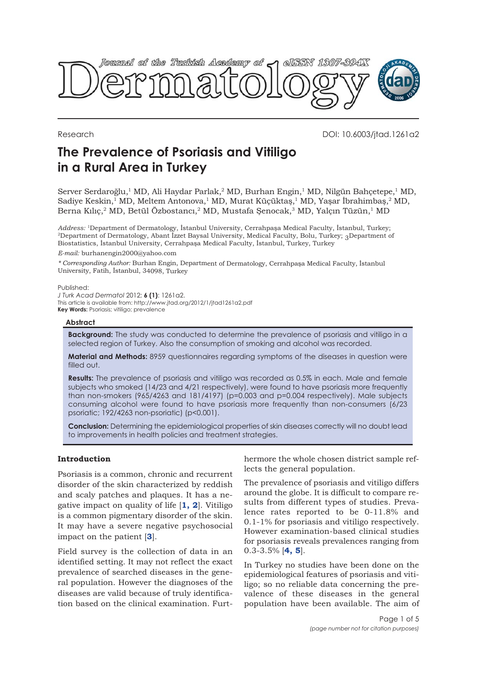<span id="page-0-0"></span>

Research DOI: 10.6003/jtad.1261a2

# **The Prevalence of Psoriasis and Vitiligo in a Rural Area in Turkey**

Server Serdaroğlu,<sup>1</sup> MD, Ali Haydar Parlak,<sup>2</sup> MD, Burhan Engin,<sup>1</sup> MD, Nilgün Bahçetepe,<sup>1</sup> MD, Sadiye Keskin,<sup>1</sup> MD, Meltem Antonova,<sup>1</sup> MD, Murat Küçüktaş,<sup>1</sup> MD, Yaşar İbrahimbaş,<sup>2</sup> MD, Berna Kılıç,<sup>2</sup> MD, Betül Özbostancı,<sup>2</sup> MD, Mustafa Şenocak,<sup>3</sup> MD, Yalçın Tüzün,<sup>1</sup> MD

*Address:* <sup>1</sup>Department of Dermatology, İstanbul University, Cerrahpaşa Medical Faculty, İstanbul, Turkey; <sup>2</sup>Department of Dermatology, Abant Izzet Baysal University, Medical Faculty, Bolu, Turkey; 3Department of Biostatistics, İstanbul University, Cerrahpaşa Medical Faculty, İstanbul, Turkey, Turkey

*E-mail:* burhanengin2000@yahoo.com

*\* Corresponding Author:* Burhan Engin, Department of Dermatology, Cerrahpaşa Medical Faculty, İstanbul University, Fatih, İstanbul, 34098, Turkey

Published:

*J Turk Acad Dermatol* 2012; **6 (1)**: 1261a2.

This article is available from: http://www.jtad.org/2012/1/jtad1261a2.pdf

**Key Words:** Psoriasis; vitiligo; prevalence

#### **Abstract**

**Background:** The study was conducted to determine the prevalence of psoriasis and vitiligo in a selected region of Turkey. Also the consumption of smoking and alcohol was recorded.

**Material and Methods:** 8959 questionnaires regarding symptoms of the diseases in question were filled out.

**Results:** The prevalence of psoriasis and vitiligo was recorded as 0.5% in each. Male and female subjects who smoked (14/23 and 4/21 respectively), were found to have psoriasis more frequently than non-smokers (965/4263 and 181/4197) (p=0.003 and p=0.004 respectively). Male subjects consuming alcohol were found to have psoriasis more frequently than non-consumers (6/23 psoriatic; 192/4263 non-psoriatic) (p<0.001).

**Conclusion:** Determining the epidemiological properties of skin diseases correctly will no doubt lead to improvements in health policies and treatment strategies.

# **Introduction**

Psoriasis is a common, chronic and recurrent disorder of the skin characterized by reddish and scaly patches and plaques. It has a negative impact on quality of life [**[1, 2](#page-4-0)**]. Vitiligo is a common pigmentary disorder of the skin. It may have a severe negative psychosocial impact on the patient [**[3](#page-4-0)**].

Field survey is the collection of data in an identified setting. It may not reflect the exact prevalence of searched diseases in the general population. However the diagnoses of the diseases are valid because of truly identification based on the clinical examination. Furthermore the whole chosen district sample reflects the general population.

The prevalence of psoriasis and vitiligo differs around the globe. It is difficult to compare results from different types of studies. Prevalence rates reported to be 0-11.8% and 0.1-1% for psoriasis and vitiligo respectively. However examination-based clinical studies for psoriasis reveals prevalences ranging from 0.3-3.5% [**[4,](#page-4-0) [5](#page-4-0)**].

In Turkey no studies have been done on the epidemiological features of psoriasis and vitiligo; so no reliable data concerning the prevalence of these diseases in the general population have been available. The aim of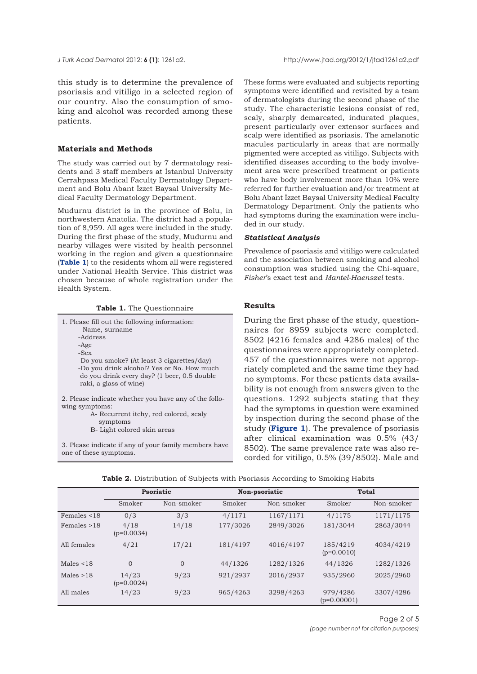<span id="page-1-0"></span>

this study is to determine the prevalence of psoriasis and vitiligo in a selected region of our country. Also the consumption of smoking and alcohol was recorded among these patients.

### **Materials and Methods**

The study was carried out by 7 dermatology residents and 3 staff members at İstanbul University Cerrahpasa Medical Faculty Dermatology Department and Bolu Abant İzzet Baysal University Medical Faculty Dermatology Department.

Mudurnu district is in the province of Bolu, in northwestern Anatolia. The district had a population of 8,959. All ages were included in the study. During the first phase of the study, Mudurnu and nearby villages were visited by health personnel working in the region and given a questionnaire (**Table 1**) to the residents whom all were registered under National Health Service. This district was chosen because of whole registration under the Health System.

**Table 1.** The Questionnaire

1. Please fill out the following information: - Name, surname -Address -Age -Sex -Do you smoke? (At least 3 cigarettes/day) -Do you drink alcohol? Yes or No. How much do you drink every day? (1 beer, 0.5 double raki, a glass of wine) 2. Please indicate whether you have any of the following symptoms: A- Recurrent itchy, red colored, scaly

symptoms B- Light colored skin areas

3. Please indicate if any of your family members have one of these symptoms.

These forms were evaluated and subjects reporting symptoms were identified and revisited by a team of dermatologists during the second phase of the study. The characteristic lesions consist of red, scaly, sharply demarcated, indurated plaques, present particularly over extensor surfaces and scalp were identified as psoriasis. The amelanotic macules particularly in areas that are normally pigmented were accepted as vitiligo. Subjects with identified diseases according to the body involvement area were prescribed treatment or patients who have body involvement more than 10% were referred for further evaluation and/or treatment at Bolu Abant İzzet Baysal University Medical Faculty Dermatology Department. Only the patients who had symptoms during the examination were included in our study.

#### *Statistical Analysis*

Prevalence of psoriasis and vitiligo were calculated and the association between smoking and alcohol consumption was studied using the Chi-square, *Fisher*'s exact test and *Mantel-Haenszel* tests.

## **Results**

During the first phase of the study, questionnaires for 8959 subjects were completed. 8502 (4216 females and 4286 males) of the questionnaires were appropriately completed. 457 of the questionnaires were not appropriately completed and the same time they had no symptoms. For these patients data availability is not enough from answers given to the questions. 1292 subjects stating that they had the symptoms in question were examined by inspection during the second phase of the study (**[Figure 1](#page-2-0)**). The prevalence of psoriasis after clinical examination was 0.5% (43/ 8502). The same prevalence rate was also recorded for vitiligo, 0.5% (39/8502). Male and

|  | Table 2. Distribution of Subjects with Psoriasis According to Smoking Habits |  |  |  |  |  |  |  |
|--|------------------------------------------------------------------------------|--|--|--|--|--|--|--|
|--|------------------------------------------------------------------------------|--|--|--|--|--|--|--|

|              | <b>Psoriatic</b>      |            |          | Non-psoriatic | Total                     |            |  |
|--------------|-----------------------|------------|----------|---------------|---------------------------|------------|--|
|              | Smoker                | Non-smoker | Smoker   | Non-smoker    | Smoker                    | Non-smoker |  |
| Females <18  | 0/3                   | 3/3        | 4/1171   | 1167/1171     | 4/1175                    | 1171/1175  |  |
| Females >18  | 4/18<br>$(p=0.0034)$  | 14/18      | 177/3026 | 2849/3026     | 181/3044                  | 2863/3044  |  |
| All females  | 4/21                  | 17/21      | 181/4197 | 4016/4197     | 185/4219<br>$(p=0.0010)$  | 4034/4219  |  |
| Males $<$ 18 | $\Omega$              | $\Omega$   | 44/1326  | 1282/1326     | 44/1326                   | 1282/1326  |  |
| Males $>18$  | 14/23<br>$(p=0.0024)$ | 9/23       | 921/2937 | 2016/2937     | 935/2960                  | 2025/2960  |  |
| All males    | 14/23                 | 9/23       | 965/4263 | 3298/4263     | 979/4286<br>$(p=0.00001)$ | 3307/4286  |  |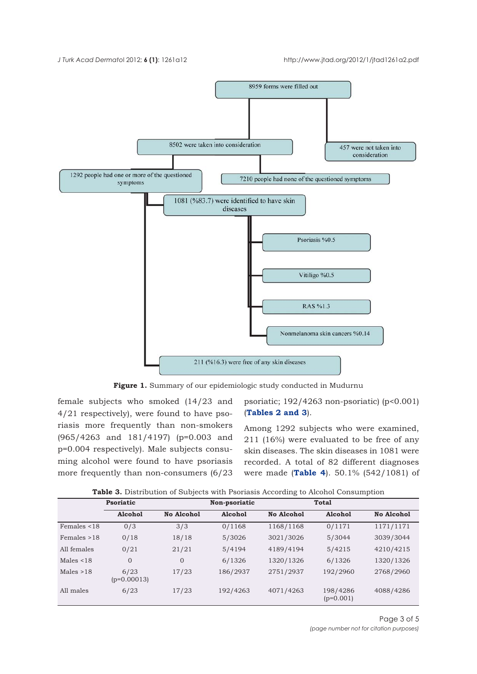<span id="page-2-0"></span>

**[Figure 1.](#page-1-0)** Summary of our epidemiologic study conducted in Mudurnu

female subjects who smoked (14/23 and 4/21 respectively), were found to have psoriasis more frequently than non-smokers (965/4263 and 181/4197) (p=0.003 and p=0.004 respectively). Male subjects consuming alcohol were found to have psoriasis more frequently than non-consumers (6/23

psoriatic; 192/4263 non-psoriatic) (p<0.001) (**[Tables 2](#page-1-0) and 3**).

Among 1292 subjects who were examined, 211 (16%) were evaluated to be free of any skin diseases. The skin diseases in 1081 were recorded. A total of 82 different diagnoses were made (**[Table 4](#page-3-0)**). 50.1% (542/1081) of

|                  | <b>Psoriatic</b>      |                   | Non-psoriatic |                   | <b>Total</b>            |                   |  |
|------------------|-----------------------|-------------------|---------------|-------------------|-------------------------|-------------------|--|
|                  | Alcohol               | <b>No Alcohol</b> | Alcohol       | <b>No Alcohol</b> | Alcohol                 | <b>No Alcohol</b> |  |
| Females <18      | 0/3                   | 3/3               | 0/1168        | 1168/1168         | 0/1171                  | 1171/1171         |  |
| $F$ emales $>18$ | 0/18                  | 18/18             | 5/3026        | 3021/3026         | 5/3044                  | 3039/3044         |  |
| All females      | 0/21                  | 21/21             | 5/4194        | 4189/4194         | 5/4215                  | 4210/4215         |  |
| Males $<$ 18     | $\Omega$              | $\mathbf{O}$      | 6/1326        | 1320/1326         | 6/1326                  | 1320/1326         |  |
| Males $>18$      | 6/23<br>$(p=0.00013)$ | 17/23             | 186/2937      | 2751/2937         | 192/2960                | 2768/2960         |  |
| All males        | 6/23                  | 17/23             | 192/4263      | 4071/4263         | 198/4286<br>$(p=0.001)$ | 4088/4286         |  |

**Table 3.** Distribution of Subjects with Psoriasis According to Alcohol Consumption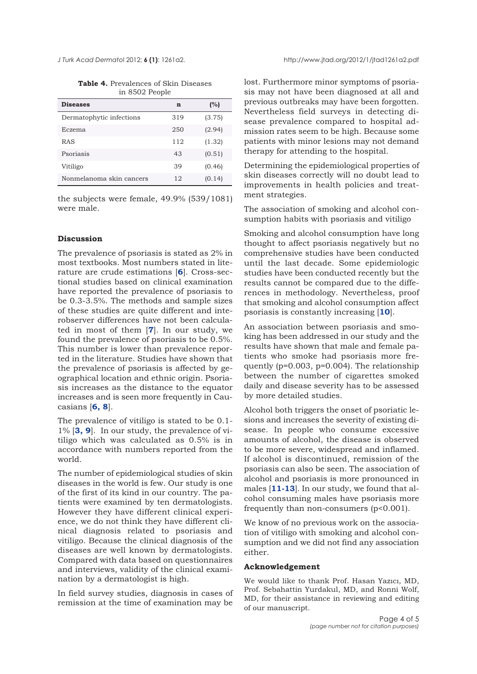<span id="page-3-0"></span>*J Turk Acad Dermato*l 2012; **6 (1)**: 1261a2. http://www.jtad.org/2012/1/jtad1261a2.pdf

**[Table 4.](#page-2-0)** Prevalences of Skin Diseases in 8502 People

| <b>Diseases</b>          | n   | (%)    |
|--------------------------|-----|--------|
| Dermatophytic infections | 319 | (3.75) |
| Eczema                   | 250 | (2.94) |
| <b>RAS</b>               | 112 | (1.32) |
| Psoriasis                | 43  | (0.51) |
| Vitiligo                 | 39  | (0.46) |
| Nonmelanoma skin cancers | 12  | (0.14) |

the subjects were female, 49.9% (539/1081) were male.

## **Discussion**

The prevalence of psoriasis is stated as 2% in most textbooks. Most numbers stated in literature are crude estimations [**[6](#page-4-0)**]. Cross-sectional studies based on clinical examination have reported the prevalence of psoriasis to be 0.3-3.5%. The methods and sample sizes of these studies are quite different and interobserver differences have not been calculated in most of them [**[7](#page-4-0)**]. In our study, we found the prevalence of psoriasis to be 0.5%. This number is lower than prevalence reported in the literature. Studies have shown that the prevalence of psoriasis is affected by geographical location and ethnic origin. Psoriasis increases as the distance to the equator increases and is seen more frequently in Caucasians [**[6, 8](#page-4-0)**].

The prevalence of vitiligo is stated to be 0.1- 1% [**[3,](#page-4-0) [9](#page-4-0)**]. In our study, the prevalence of vitiligo which was calculated as 0.5% is in accordance with numbers reported from the world.

The number of epidemiological studies of skin diseases in the world is few. Our study is one of the first of its kind in our country. The patients were examined by ten dermatologists. However they have different clinical experience, we do not think they have different clinical diagnosis related to psoriasis and vitiligo. Because the clinical diagnosis of the diseases are well known by dermatologists. Compared with data based on questionnaires and interviews, validity of the clinical examination by a dermatologist is high.

In field survey studies, diagnosis in cases of remission at the time of examination may be

lost. Furthermore minor symptoms of psoriasis may not have been diagnosed at all and previous outbreaks may have been forgotten. Nevertheless field surveys in detecting disease prevalence compared to hospital admission rates seem to be high. Because some patients with minor lesions may not demand therapy for attending to the hospital.

Determining the epidemiological properties of skin diseases correctly will no doubt lead to improvements in health policies and treatment strategies.

The association of smoking and alcohol consumption habits with psoriasis and vitiligo

Smoking and alcohol consumption have long thought to affect psoriasis negatively but no comprehensive studies have been conducted until the last decade. Some epidemiologic studies have been conducted recently but the results cannot be compared due to the differences in methodology. Nevertheless, proof that smoking and alcohol consumption affect psoriasis is constantly increasing [**[10](#page-4-0)**].

An association between psoriasis and smoking has been addressed in our study and the results have shown that male and female patients who smoke had psoriasis more frequently  $(p=0.003, p=0.004)$ . The relationship between the number of cigarettes smoked daily and disease severity has to be assessed by more detailed studies.

Alcohol both triggers the onset of psoriatic lesions and increases the severity of existing disease. In people who consume excessive amounts of alcohol, the disease is observed to be more severe, widespread and inflamed. If alcohol is discontinued, remission of the psoriasis can also be seen. The association of alcohol and psoriasis is more pronounced in males [**[11-13](#page-4-0)**]. In our study, we found that alcohol consuming males have psoriasis more frequently than non-consumers (p<0.001).

We know of no previous work on the association of vitiligo with smoking and alcohol consumption and we did not find any association either.

# **Acknowledgement**

We would like to thank Prof. Hasan Yazıcı, MD, Prof. Sebahattin Yurdakul, MD, and Ronni Wolf, MD, for their assistance in reviewing and editing of our manuscript.